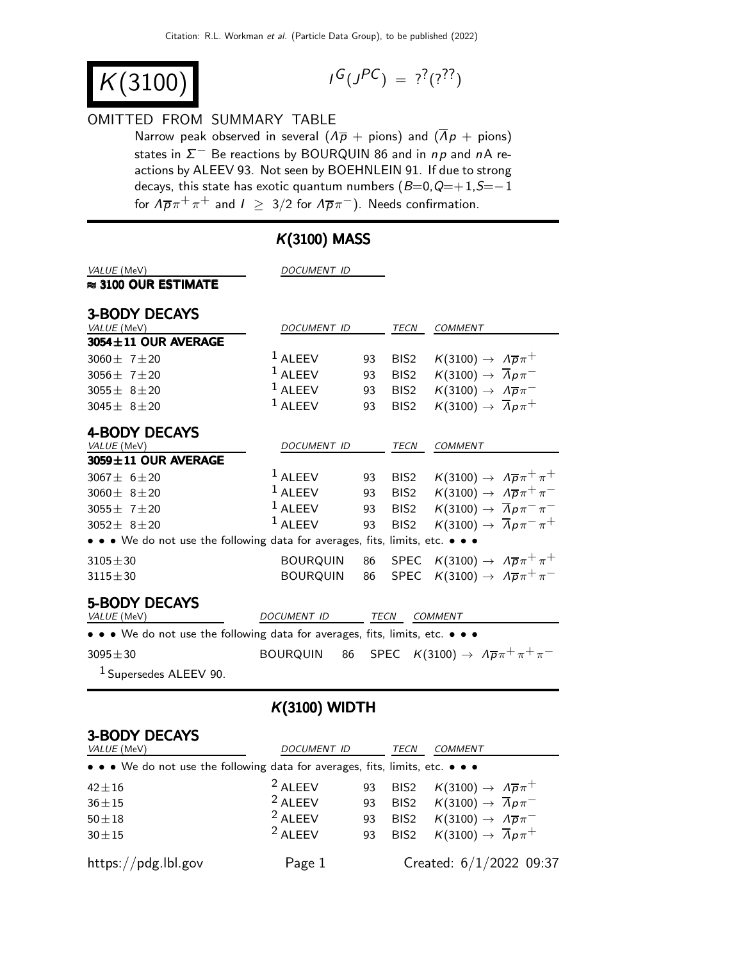$K(3100)$ 

$$
I^G(J^{PC}) = ?^?(?^?')
$$

#### OMITTED FROM SUMMARY TABLE

Narrow peak observed in several  $(\Lambda \overline{p} + \text{pions})$  and  $(\overline{\Lambda} p + \text{pions})$ states in  $\Sigma^-$  Be reactions by BOURQUIN 86 and in np and nA reactions by ALEEV 93. Not seen by BOEHNLEIN 91. If due to strong decays, this state has exotic quantum numbers  $(B=0, Q=+1, S=-1)$ for  $\Delta \overline{p} \pi^+ \pi^+$  and  $I \geq 3/2$  for  $\Delta \overline{p} \pi^-$ ). Needs confirmation.

| VALUE (MeV)<br>$\approx$ 3100 OUR ESTIMATE                                    | DOCUMENT ID        |             |                  |                                                                   |  |
|-------------------------------------------------------------------------------|--------------------|-------------|------------------|-------------------------------------------------------------------|--|
| <b>3-BODY DECAYS</b><br>VALUE (MeV)                                           | DOCUMENT ID        |             | TECN             | <b>COMMENT</b>                                                    |  |
| $3054 \pm 11$ OUR AVERAGE                                                     |                    |             |                  |                                                                   |  |
| 3060 $\pm$ 7 $\pm$ 20                                                         | $1$ ALEEV          | 93          | BIS <sub>2</sub> | $K(3100) \rightarrow \Lambda \overline{p} \pi^+$                  |  |
| 3056 $\pm$ 7 $\pm$ 20                                                         | $1$ ALEEV          | 93          | BIS <sub>2</sub> | $K(3100) \rightarrow \overline{A}p\pi^-$                          |  |
| $3055 \pm 8 \pm 20$                                                           | $1$ ALEEV          | 93          | BIS <sub>2</sub> | $K(3100) \rightarrow \overline{\Lambda} \overline{p} \pi^-$       |  |
| $3045 \pm 8 \pm 20$                                                           | $1$ ALEEV          | 93          | BIS <sub>2</sub> | $K(3100) \rightarrow \overline{A}p\pi^+$                          |  |
| <b>4-BODY DECAYS</b>                                                          |                    |             |                  |                                                                   |  |
| VALUE (MeV)                                                                   | <b>DOCUMENT ID</b> |             | <b>TECN</b>      | <b>COMMENT</b>                                                    |  |
| 3059±11 OUR AVERAGE                                                           |                    |             |                  |                                                                   |  |
| $3067 \pm 6 \pm 20$                                                           | $1$ ALEEV          | 93          | BIS <sub>2</sub> | $K(3100) \rightarrow A \overline{p} \pi^+ \pi^+$                  |  |
| $3060 \pm 8 \pm 20$                                                           | $1$ ALEEV          | 93          | BIS <sub>2</sub> | $K(3100) \rightarrow A\overline{p}\pi^{+}\pi^{-}$                 |  |
| $3055 \pm 7 \pm 20$                                                           | $1$ ALEEV          | 93          | BIS <sub>2</sub> | $K(3100) \rightarrow \overline{A}p\pi^{-}\pi^{-}$                 |  |
| $3052 \pm 8 \pm 20$                                                           | $1$ ALEEV          | 93          | BIS <sub>2</sub> | $K(3100) \rightarrow \overline{A}p\pi^{-}\pi^{+}$                 |  |
| • • • We do not use the following data for averages, fits, limits, etc. • • • |                    |             |                  |                                                                   |  |
| $3105 \pm 30$                                                                 | BOURQUIN           | 86          |                  | SPEC $K(3100) \rightarrow \Lambda \overline{p} \pi^+ \pi^+$       |  |
| $3115 \pm 30$                                                                 | <b>BOURQUIN</b>    | 86          | SPEC             | $K(3100) \rightarrow A\overline{p}\pi^{+}\pi^{-}$                 |  |
| <b>5-BODY DECAYS</b>                                                          |                    |             |                  |                                                                   |  |
| VALUE (MeV)                                                                   | <b>DOCUMENT ID</b> | <b>TECN</b> |                  | <b>COMMENT</b>                                                    |  |
| • • • We do not use the following data for averages, fits, limits, etc. • • • |                    |             |                  |                                                                   |  |
| $3095 \pm 30$                                                                 | BOURQUIN<br>86     |             |                  | SPEC $K(3100) \rightarrow \Lambda \overline{p} \pi^+ \pi^+ \pi^-$ |  |
| $1$ Supersedes ALEEV 90.                                                      |                    |             |                  |                                                                   |  |

# $K(3100)$  MASS

### K(3100) WIDTH

### 3-BODY DECAYS

| VALUE (MeV)                                                                   | DOCUMENT ID        |    | TECN             | <b>COMMENT</b>                                                 |
|-------------------------------------------------------------------------------|--------------------|----|------------------|----------------------------------------------------------------|
| • • • We do not use the following data for averages, fits, limits, etc. • • • |                    |    |                  |                                                                |
| $42 \pm 16$                                                                   | <sup>2</sup> ALEEV | 93 |                  | BIS2 $K(3100) \rightarrow \Lambda \overline{p} \pi^+$          |
| $36 + 15$                                                                     | $2$ ALEEV          | 93 | BIS <sub>2</sub> | $K(3100) \rightarrow \overline{A} p \pi^-$                     |
| $50\pm18$                                                                     | $2$ ALEEV          | 93 | BIS2             | $K(3100) \rightarrow \overline{\Lambda} \overline{\rho} \pi^-$ |
| $30 \pm 15$                                                                   | $2$ AI FFV         | 93 |                  | BIS2 $K(3100) \rightarrow \overline{A}p\pi^+$                  |
| https://pdg.lbl.gov                                                           | Page 1             |    |                  | Created: 6/1/2022 09:37                                        |